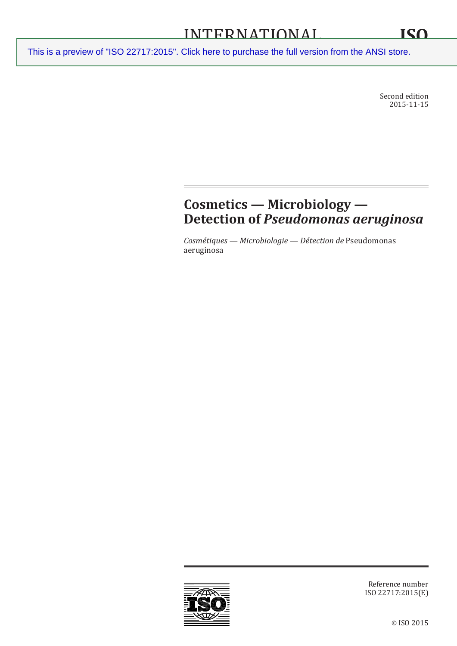Second edition 2015-11-15

# **Cosmetics — Microbiology — Detection of** *Pseudomonas aeruginosa*

*Cosmétiques — Microbiologie — Détection de* Pseudomonas aeruginosa



Reference number ISO 22717:2015(E)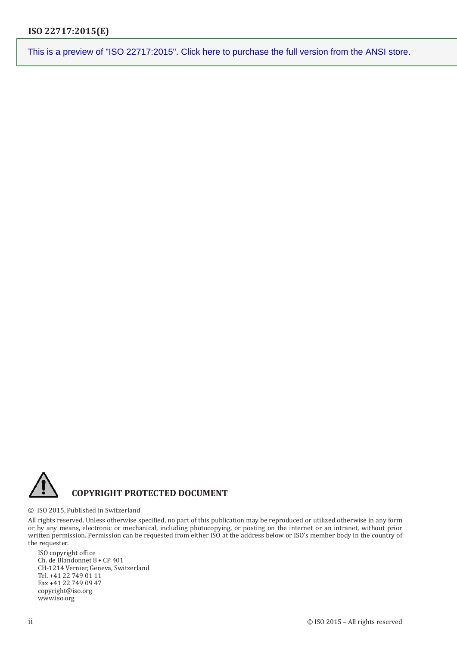

#### © ISO 2015, Published in Switzerland

All rights reserved. Unless otherwise specified, no part of this publication may be reproduced or utilized otherwise in any form or by any means, electronic or mechanical, including photocopying, or posting on the internet or an intranet, without prior written permission. Permission can be requested from either ISO at the address below or ISO's member body in the country of the requester.

ISO copyright office Ch. de Blandonnet 8 • CP 401 CH-1214 Vernier, Geneva, Switzerland Tel. +41 22 749 01 11 Fax +41 22 749 09 47 copyright@iso.org www.iso.org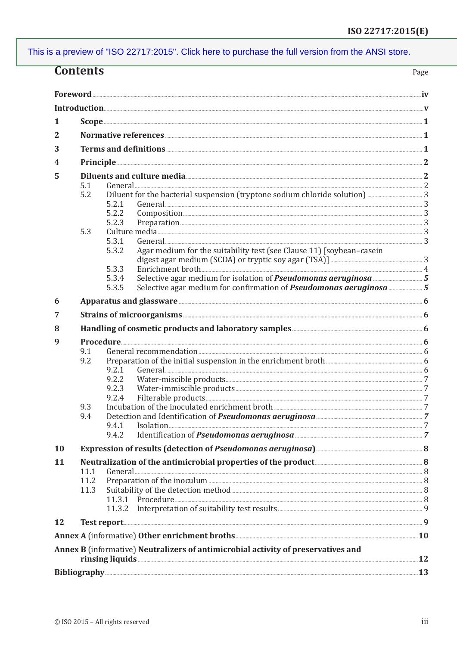|           | <b>Contents</b>                                                                                                                                                                                                                    |                                                                                                                                                                                                                                                                                                                                                                                         | Page |
|-----------|------------------------------------------------------------------------------------------------------------------------------------------------------------------------------------------------------------------------------------|-----------------------------------------------------------------------------------------------------------------------------------------------------------------------------------------------------------------------------------------------------------------------------------------------------------------------------------------------------------------------------------------|------|
|           |                                                                                                                                                                                                                                    |                                                                                                                                                                                                                                                                                                                                                                                         |      |
|           |                                                                                                                                                                                                                                    |                                                                                                                                                                                                                                                                                                                                                                                         |      |
| 1         |                                                                                                                                                                                                                                    | $\textbf{Scope} \texttt{} \texttt{} \texttt{} \texttt{} \texttt{} \texttt{} \texttt{} \texttt{} \texttt{} \texttt{} \texttt{} \texttt{} \texttt{} \texttt{} \texttt{} \texttt{} \texttt{} \texttt{} \texttt{} \texttt{} \texttt{} \texttt{} \texttt{} \texttt{} \texttt{} \texttt{} \texttt{} \texttt{} \texttt{} \texttt{} \texttt{} \texttt{} \texttt{} \texttt{} \texttt{} \texttt{$ |      |
|           |                                                                                                                                                                                                                                    |                                                                                                                                                                                                                                                                                                                                                                                         |      |
| 2         |                                                                                                                                                                                                                                    |                                                                                                                                                                                                                                                                                                                                                                                         |      |
| 3         |                                                                                                                                                                                                                                    |                                                                                                                                                                                                                                                                                                                                                                                         |      |
| 4         |                                                                                                                                                                                                                                    |                                                                                                                                                                                                                                                                                                                                                                                         |      |
| 5         | Diluents and culture media <b>Exercise and Culture and Culture and Culture</b> and Culture and Culture and Culture and Culture and Culture and Culture and Culture and Culture and Culture and Culture and Culture and Culture and |                                                                                                                                                                                                                                                                                                                                                                                         |      |
|           | 5.1                                                                                                                                                                                                                                |                                                                                                                                                                                                                                                                                                                                                                                         |      |
|           | 5.2                                                                                                                                                                                                                                | 5.2.1                                                                                                                                                                                                                                                                                                                                                                                   |      |
|           |                                                                                                                                                                                                                                    | 5.2.2                                                                                                                                                                                                                                                                                                                                                                                   |      |
|           |                                                                                                                                                                                                                                    | 5.2.3                                                                                                                                                                                                                                                                                                                                                                                   |      |
|           | 5.3                                                                                                                                                                                                                                |                                                                                                                                                                                                                                                                                                                                                                                         |      |
|           |                                                                                                                                                                                                                                    | 5.3.1                                                                                                                                                                                                                                                                                                                                                                                   |      |
|           |                                                                                                                                                                                                                                    | Agar medium for the suitability test (see Clause 11) [soybean-casein<br>5.3.2                                                                                                                                                                                                                                                                                                           |      |
|           |                                                                                                                                                                                                                                    |                                                                                                                                                                                                                                                                                                                                                                                         |      |
|           |                                                                                                                                                                                                                                    | 5.3.3                                                                                                                                                                                                                                                                                                                                                                                   |      |
|           |                                                                                                                                                                                                                                    | 5.3.4<br>5.3.5                                                                                                                                                                                                                                                                                                                                                                          |      |
|           |                                                                                                                                                                                                                                    |                                                                                                                                                                                                                                                                                                                                                                                         |      |
| 6         |                                                                                                                                                                                                                                    | Apparatus and glassware <b>Election Communities</b> 6                                                                                                                                                                                                                                                                                                                                   |      |
| 7         |                                                                                                                                                                                                                                    | Strains of microorganisms <b>Example 2018</b> 6                                                                                                                                                                                                                                                                                                                                         |      |
| 8         |                                                                                                                                                                                                                                    | Handling of cosmetic products and laboratory samples <b>Annual Equation</b> Books and 5                                                                                                                                                                                                                                                                                                 |      |
| 9         |                                                                                                                                                                                                                                    |                                                                                                                                                                                                                                                                                                                                                                                         |      |
|           | 9.1                                                                                                                                                                                                                                |                                                                                                                                                                                                                                                                                                                                                                                         |      |
|           | 9.2                                                                                                                                                                                                                                |                                                                                                                                                                                                                                                                                                                                                                                         |      |
|           |                                                                                                                                                                                                                                    | 9.2.1                                                                                                                                                                                                                                                                                                                                                                                   |      |
|           |                                                                                                                                                                                                                                    | 9.2.2                                                                                                                                                                                                                                                                                                                                                                                   |      |
|           |                                                                                                                                                                                                                                    | 9.2.3<br>9.2.4                                                                                                                                                                                                                                                                                                                                                                          |      |
|           | 9.3                                                                                                                                                                                                                                |                                                                                                                                                                                                                                                                                                                                                                                         | .7   |
|           | 9.4                                                                                                                                                                                                                                |                                                                                                                                                                                                                                                                                                                                                                                         |      |
|           |                                                                                                                                                                                                                                    | 9.4.1                                                                                                                                                                                                                                                                                                                                                                                   |      |
|           |                                                                                                                                                                                                                                    | 9.4.2                                                                                                                                                                                                                                                                                                                                                                                   |      |
| 10        |                                                                                                                                                                                                                                    |                                                                                                                                                                                                                                                                                                                                                                                         |      |
| 11        | Neutralization of the antimicrobial properties of the product 2000 and 2000 and 3000 and 3000 and 3000 and 300                                                                                                                     |                                                                                                                                                                                                                                                                                                                                                                                         |      |
|           | 11.1                                                                                                                                                                                                                               |                                                                                                                                                                                                                                                                                                                                                                                         |      |
|           | 11.2                                                                                                                                                                                                                               |                                                                                                                                                                                                                                                                                                                                                                                         |      |
|           | 11.3                                                                                                                                                                                                                               |                                                                                                                                                                                                                                                                                                                                                                                         |      |
|           |                                                                                                                                                                                                                                    |                                                                                                                                                                                                                                                                                                                                                                                         |      |
|           |                                                                                                                                                                                                                                    |                                                                                                                                                                                                                                                                                                                                                                                         |      |
| <b>12</b> |                                                                                                                                                                                                                                    |                                                                                                                                                                                                                                                                                                                                                                                         |      |
|           |                                                                                                                                                                                                                                    |                                                                                                                                                                                                                                                                                                                                                                                         |      |
|           |                                                                                                                                                                                                                                    | Annex B (informative) Neutralizers of antimicrobial activity of preservatives and                                                                                                                                                                                                                                                                                                       |      |
|           |                                                                                                                                                                                                                                    |                                                                                                                                                                                                                                                                                                                                                                                         |      |
|           |                                                                                                                                                                                                                                    |                                                                                                                                                                                                                                                                                                                                                                                         |      |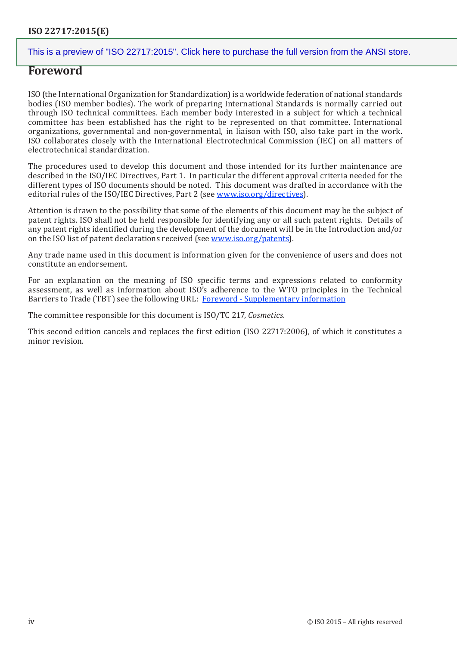## **Foreword**

ISO (the International Organization for Standardization) is a worldwide federation of national standards bodies (ISO member bodies). The work of preparing International Standards is normally carried out through ISO technical committees. Each member body interested in a subject for which a technical committee has been established has the right to be represented on that committee. International organizations, governmental and non-governmental, in liaison with ISO, also take part in the work. ISO collaborates closely with the International Electrotechnical Commission (IEC) on all matters of electrotechnical standardization.

The procedures used to develop this document and those intended for its further maintenance are described in the ISO/IEC Directives, Part 1. In particular the different approval criteria needed for the different types of ISO documents should be noted. This document was drafted in accordance with the editorial rules of the ISO/IEC Directives, Part 2 (see [www.iso.org/directives\)](http://www.iso.org/directives).

Attention is drawn to the possibility that some of the elements of this document may be the subject of patent rights. ISO shall not be held responsible for identifying any or all such patent rights. Details of any patent rights identified during the development of the document will be in the Introduction and/or on the ISO list of patent declarations received (see [www.iso.org/patents](http://www.iso.org/patents)).

Any trade name used in this document is information given for the convenience of users and does not constitute an endorsement.

For an explanation on the meaning of ISO specific terms and expressions related to conformity assessment, as well as information about ISO's adherence to the WTO principles in the Technical Barriers to Trade (TBT) see the following URL: [Foreword - Supplementary information](http://www.iso.org/iso/home/standards_development/resources-for-technical-work/foreword.htm)

The committee responsible for this document is ISO/TC 217, *Cosmetics*.

This second edition cancels and replaces the first edition (ISO 22717:2006), of which it constitutes a minor revision.